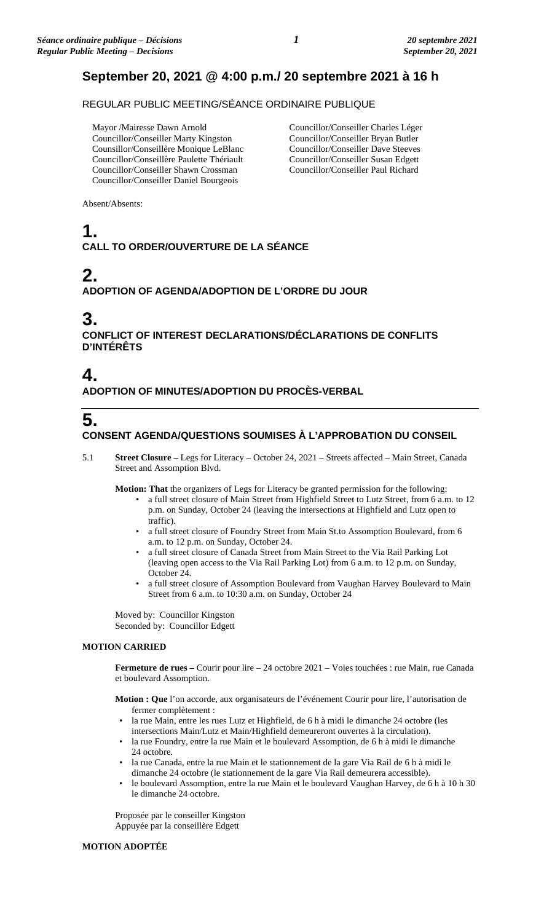## **September 20, 2021 @ 4:00 p.m./ 20 septembre 2021 à 16 h**

### REGULAR PUBLIC MEETING/SÉANCE ORDINAIRE PUBLIQUE

Mayor /Mairesse Dawn Arnold Councillor/Conseiller Marty Kingston Counsillor/Conseillère Monique LeBlanc Councillor/Conseillère Paulette Thériault Councillor/Conseiller Shawn Crossman Councillor/Conseiller Daniel Bourgeois

Councillor/Conseiller Charles Léger Councillor/Conseiller Bryan Butler Councillor/Conseiller Dave Steeves Councillor/Conseiller Susan Edgett Councillor/Conseiller Paul Richard

Absent/Absents:

## **1. CALL TO ORDER/OUVERTURE DE LA SÉANCE**

# **2.**

### **ADOPTION OF AGENDA/ADOPTION DE L'ORDRE DU JOUR**

## **3.**

**CONFLICT OF INTEREST DECLARATIONS/DÉCLARATIONS DE CONFLITS D'INTÉRÊTS**

### **4. ADOPTION OF MINUTES/ADOPTION DU PROCÈS-VERBAL**

# **5.**

### **CONSENT AGENDA/QUESTIONS SOUMISES À L'APPROBATION DU CONSEIL**

5.1 **Street Closure –** Legs for Literacy – October 24, 2021 – Streets affected – Main Street, Canada Street and Assomption Blvd.

**Motion: That** the organizers of Legs for Literacy be granted permission for the following:

- a full street closure of Main Street from Highfield Street to Lutz Street, from 6 a.m. to 12 p.m. on Sunday, October 24 (leaving the intersections at Highfield and Lutz open to traffic).
- a full street closure of Foundry Street from Main St.to Assomption Boulevard, from 6 a.m. to 12 p.m. on Sunday, October 24.
- a full street closure of Canada Street from Main Street to the Via Rail Parking Lot (leaving open access to the Via Rail Parking Lot) from 6 a.m. to 12 p.m. on Sunday, October 24.
- a full street closure of Assomption Boulevard from Vaughan Harvey Boulevard to Main Street from 6 a.m. to 10:30 a.m. on Sunday, October 24

Moved by: Councillor Kingston Seconded by: Councillor Edgett

#### **MOTION CARRIED**

**Fermeture de rues –** Courir pour lire – 24 octobre 2021 – Voies touchées : rue Main, rue Canada et boulevard Assomption.

**Motion : Que** l'on accorde, aux organisateurs de l'événement Courir pour lire, l'autorisation de fermer complètement :

- la rue Main, entre les rues Lutz et Highfield, de 6 h à midi le dimanche 24 octobre (les intersections Main/Lutz et Main/Highfield demeureront ouvertes à la circulation).
- la rue Foundry, entre la rue Main et le boulevard Assomption, de 6 h à midi le dimanche 24 octobre.
- la rue Canada, entre la rue Main et le stationnement de la gare Via Rail de 6 h à midi le dimanche 24 octobre (le stationnement de la gare Via Rail demeurera accessible).
- le boulevard Assomption, entre la rue Main et le boulevard Vaughan Harvey, de 6 h à 10 h 30 le dimanche 24 octobre.

Proposée par le conseiller Kingston Appuyée par la conseillère Edgett

#### **MOTION ADOPTÉE**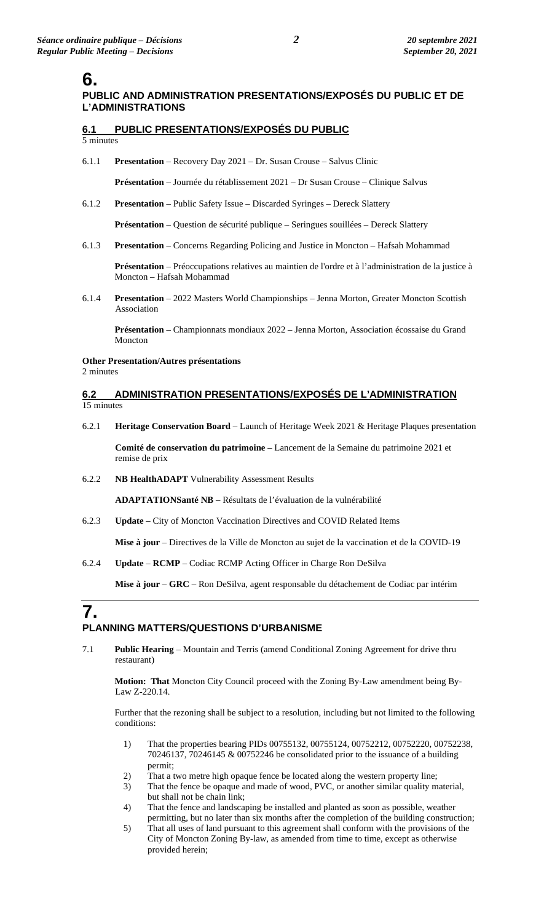## **6.**

### **PUBLIC AND ADMINISTRATION PRESENTATIONS/EXPOSÉS DU PUBLIC ET DE L'ADMINISTRATIONS**

### **6.1 PUBLIC PRESENTATIONS/EXPOSÉS DU PUBLIC**

5 minutes

6.1.1 **Presentation** – Recovery Day 2021 – Dr. Susan Crouse – Salvus Clinic

**Présentation** – Journée du rétablissement 2021 – Dr Susan Crouse – Clinique Salvus

6.1.2 **Presentation** – Public Safety Issue – Discarded Syringes – Dereck Slattery

**Présentation** – Question de sécurité publique – Seringues souillées – Dereck Slattery

6.1.3 **Presentation** – Concerns Regarding Policing and Justice in Moncton – Hafsah Mohammad

**Présentation** – Préoccupations relatives au maintien de l'ordre et à l'administration de la justice à Moncton – Hafsah Mohammad

6.1.4 **Presentation** – 2022 Masters World Championships – Jenna Morton, Greater Moncton Scottish Association

**Présentation** – Championnats mondiaux 2022 – Jenna Morton, Association écossaise du Grand Moncton

#### **Other Presentation/Autres présentations**

2 minutes

#### **6.2 ADMINISTRATION PRESENTATIONS/EXPOSÉS DE L'ADMINISTRATION** 15 minutes

6.2.1 **Heritage Conservation Board** – Launch of Heritage Week 2021 & Heritage Plaques presentation

**Comité de conservation du patrimoine** – Lancement de la Semaine du patrimoine 2021 et remise de prix

6.2.2 **NB HealthADAPT** Vulnerability Assessment Results

**ADAPTATIONSanté NB** – Résultats de l'évaluation de la vulnérabilité

6.2.3 **Update** – City of Moncton Vaccination Directives and COVID Related Items

**Mise à jour** – Directives de la Ville de Moncton au sujet de la vaccination et de la COVID-19

6.2.4 **Update** – **RCMP** – Codiac RCMP Acting Officer in Charge Ron DeSilva

**Mise à jour** – **GRC** – Ron DeSilva, agent responsable du détachement de Codiac par intérim

# **7.**

#### **PLANNING MATTERS/QUESTIONS D'URBANISME**

7.1 **Public Hearing** – Mountain and Terris (amend Conditional Zoning Agreement for drive thru restaurant)

**Motion: That** Moncton City Council proceed with the Zoning By-Law amendment being By-Law Z-220.14.

Further that the rezoning shall be subject to a resolution, including but not limited to the following conditions:

- 1) That the properties bearing PIDs 00755132, 00755124, 00752212, 00752220, 00752238, 70246137, 70246145 & 00752246 be consolidated prior to the issuance of a building permit;
- 2) That a two metre high opaque fence be located along the western property line;
- 3) That the fence be opaque and made of wood, PVC, or another similar quality material, but shall not be chain link;
- 4) That the fence and landscaping be installed and planted as soon as possible, weather permitting, but no later than six months after the completion of the building construction;
- 5) That all uses of land pursuant to this agreement shall conform with the provisions of the City of Moncton Zoning By-law, as amended from time to time, except as otherwise provided herein;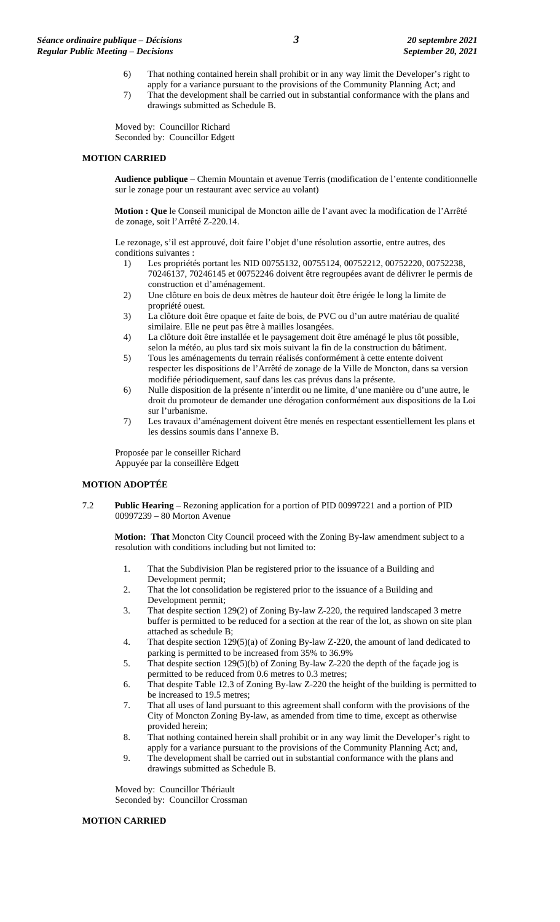- 6) That nothing contained herein shall prohibit or in any way limit the Developer's right to apply for a variance pursuant to the provisions of the Community Planning Act; and
- 7) That the development shall be carried out in substantial conformance with the plans and drawings submitted as Schedule B.

Moved by: Councillor Richard Seconded by: Councillor Edgett

#### **MOTION CARRIED**

**Audience publique** – Chemin Mountain et avenue Terris (modification de l'entente conditionnelle sur le zonage pour un restaurant avec service au volant)

**Motion : Que** le Conseil municipal de Moncton aille de l'avant avec la modification de l'Arrêté de zonage, soit l'Arrêté Z-220.14.

Le rezonage, s'il est approuvé, doit faire l'objet d'une résolution assortie, entre autres, des conditions suivantes :

- 1) Les propriétés portant les NID 00755132, 00755124, 00752212, 00752220, 00752238, 70246137, 70246145 et 00752246 doivent être regroupées avant de délivrer le permis de construction et d'aménagement.
- 2) Une clôture en bois de deux mètres de hauteur doit être érigée le long la limite de propriété ouest.
- 3) La clôture doit être opaque et faite de bois, de PVC ou d'un autre matériau de qualité similaire. Elle ne peut pas être à mailles losangées.
- 4) La clôture doit être installée et le paysagement doit être aménagé le plus tôt possible, selon la météo, au plus tard six mois suivant la fin de la construction du bâtiment.
- 5) Tous les aménagements du terrain réalisés conformément à cette entente doivent respecter les dispositions de l'Arrêté de zonage de la Ville de Moncton, dans sa version modifiée périodiquement, sauf dans les cas prévus dans la présente.
- 6) Nulle disposition de la présente n'interdit ou ne limite, d'une manière ou d'une autre, le droit du promoteur de demander une dérogation conformément aux dispositions de la Loi sur l'urbanisme.
- 7) Les travaux d'aménagement doivent être menés en respectant essentiellement les plans et les dessins soumis dans l'annexe B.

Proposée par le conseiller Richard Appuyée par la conseillère Edgett

#### **MOTION ADOPTÉE**

7.2 **Public Hearing** – Rezoning application for a portion of PID 00997221 and a portion of PID 00997239 – 80 Morton Avenue

**Motion: That** Moncton City Council proceed with the Zoning By-law amendment subject to a resolution with conditions including but not limited to:

- 1. That the Subdivision Plan be registered prior to the issuance of a Building and Development permit;
- 2. That the lot consolidation be registered prior to the issuance of a Building and Development permit;
- 3. That despite section 129(2) of Zoning By-law Z-220, the required landscaped 3 metre buffer is permitted to be reduced for a section at the rear of the lot, as shown on site plan attached as schedule B;
- 4. That despite section 129(5)(a) of Zoning By-law Z-220, the amount of land dedicated to parking is permitted to be increased from 35% to 36.9%
- 5. That despite section 129(5)(b) of Zoning By-law Z-220 the depth of the façade jog is permitted to be reduced from 0.6 metres to 0.3 metres;
- 6. That despite Table 12.3 of Zoning By-law Z-220 the height of the building is permitted to be increased to 19.5 metres;
- 7. That all uses of land pursuant to this agreement shall conform with the provisions of the City of Moncton Zoning By-law, as amended from time to time, except as otherwise provided herein;
- 8. That nothing contained herein shall prohibit or in any way limit the Developer's right to apply for a variance pursuant to the provisions of the Community Planning Act; and,
- 9. The development shall be carried out in substantial conformance with the plans and drawings submitted as Schedule B.

Moved by: Councillor Thériault Seconded by: Councillor Crossman

#### **MOTION CARRIED**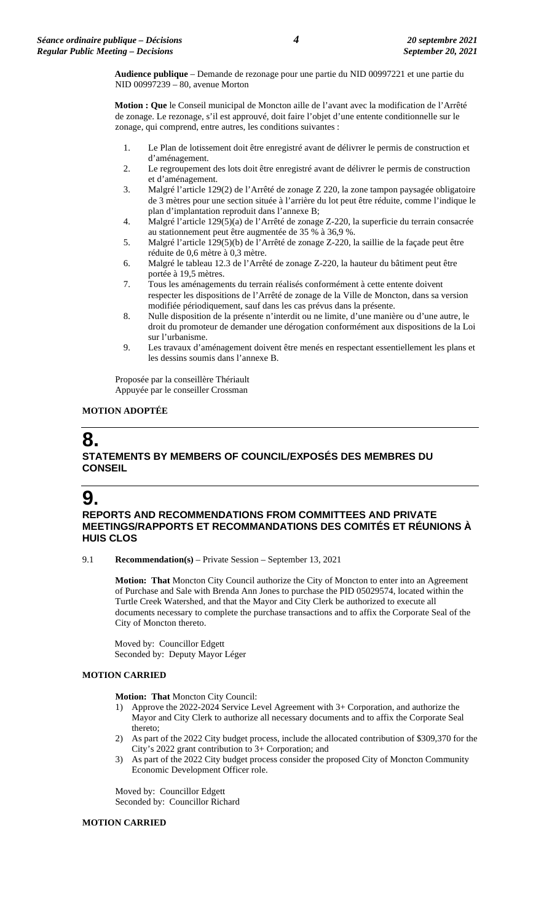**Audience publique** – Demande de rezonage pour une partie du NID 00997221 et une partie du NID 00997239 – 80, avenue Morton

**Motion : Que** le Conseil municipal de Moncton aille de l'avant avec la modification de l'Arrêté de zonage. Le rezonage, s'il est approuvé, doit faire l'objet d'une entente conditionnelle sur le zonage, qui comprend, entre autres, les conditions suivantes :

- 1. Le Plan de lotissement doit être enregistré avant de délivrer le permis de construction et d'aménagement.
- 2. Le regroupement des lots doit être enregistré avant de délivrer le permis de construction et d'aménagement.
- 3. Malgré l'article 129(2) de l'Arrêté de zonage Z 220, la zone tampon paysagée obligatoire de 3 mètres pour une section située à l'arrière du lot peut être réduite, comme l'indique le plan d'implantation reproduit dans l'annexe B;
- 4. Malgré l'article 129(5)(a) de l'Arrêté de zonage Z-220, la superficie du terrain consacrée au stationnement peut être augmentée de 35 % à 36,9 %.
- 5. Malgré l'article 129(5)(b) de l'Arrêté de zonage Z-220, la saillie de la façade peut être réduite de 0,6 mètre à 0,3 mètre.
- 6. Malgré le tableau 12.3 de l'Arrêté de zonage Z-220, la hauteur du bâtiment peut être portée à 19,5 mètres.
- 7. Tous les aménagements du terrain réalisés conformément à cette entente doivent respecter les dispositions de l'Arrêté de zonage de la Ville de Moncton, dans sa version modifiée périodiquement, sauf dans les cas prévus dans la présente.
- 8. Nulle disposition de la présente n'interdit ou ne limite, d'une manière ou d'une autre, le droit du promoteur de demander une dérogation conformément aux dispositions de la Loi sur l'urbanisme.
- 9. Les travaux d'aménagement doivent être menés en respectant essentiellement les plans et les dessins soumis dans l'annexe B.

Proposée par la conseillère Thériault Appuyée par le conseiller Crossman

#### **MOTION ADOPTÉE**

### **8. STATEMENTS BY MEMBERS OF COUNCIL/EXPOSÉS DES MEMBRES DU CONSEIL**

## **9.**

#### **REPORTS AND RECOMMENDATIONS FROM COMMITTEES AND PRIVATE MEETINGS/RAPPORTS ET RECOMMANDATIONS DES COMITÉS ET RÉUNIONS À HUIS CLOS**

9.1 **Recommendation(s)** – Private Session – September 13, 2021

**Motion: That** Moncton City Council authorize the City of Moncton to enter into an Agreement of Purchase and Sale with Brenda Ann Jones to purchase the PID 05029574, located within the Turtle Creek Watershed, and that the Mayor and City Clerk be authorized to execute all documents necessary to complete the purchase transactions and to affix the Corporate Seal of the City of Moncton thereto.

Moved by: Councillor Edgett Seconded by: Deputy Mayor Léger

#### **MOTION CARRIED**

**Motion: That** Moncton City Council:

- 1) Approve the 2022-2024 Service Level Agreement with 3+ Corporation, and authorize the Mayor and City Clerk to authorize all necessary documents and to affix the Corporate Seal thereto;
- 2) As part of the 2022 City budget process, include the allocated contribution of \$309,370 for the City's 2022 grant contribution to 3+ Corporation; and
- 3) As part of the 2022 City budget process consider the proposed City of Moncton Community Economic Development Officer role.

Moved by: Councillor Edgett Seconded by: Councillor Richard

#### **MOTION CARRIED**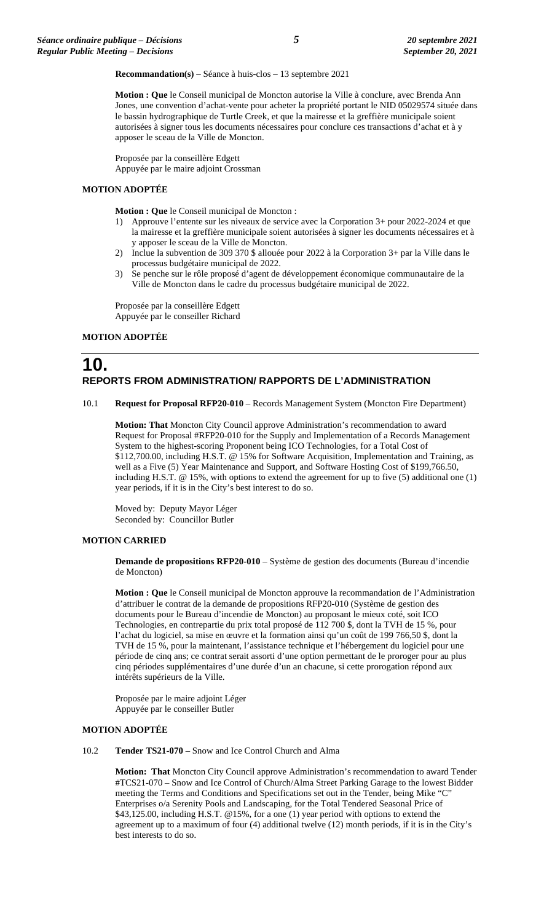**Recommandation(s)** – Séance à huis-clos – 13 septembre 2021

**Motion : Que** le Conseil municipal de Moncton autorise la Ville à conclure, avec Brenda Ann Jones, une convention d'achat-vente pour acheter la propriété portant le NID 05029574 située dans le bassin hydrographique de Turtle Creek, et que la mairesse et la greffière municipale soient autorisées à signer tous les documents nécessaires pour conclure ces transactions d'achat et à y apposer le sceau de la Ville de Moncton.

Proposée par la conseillère Edgett Appuyée par le maire adjoint Crossman

#### **MOTION ADOPTÉE**

**Motion : Que** le Conseil municipal de Moncton :

- 1) Approuve l'entente sur les niveaux de service avec la Corporation 3+ pour 2022-2024 et que la mairesse et la greffière municipale soient autorisées à signer les documents nécessaires et à y apposer le sceau de la Ville de Moncton.
- 2) Inclue la subvention de 309 370 \$ allouée pour 2022 à la Corporation 3+ par la Ville dans le processus budgétaire municipal de 2022.
- 3) Se penche sur le rôle proposé d'agent de développement économique communautaire de la Ville de Moncton dans le cadre du processus budgétaire municipal de 2022.

Proposée par la conseillère Edgett Appuyée par le conseiller Richard

#### **MOTION ADOPTÉE**

## **10. REPORTS FROM ADMINISTRATION/ RAPPORTS DE L'ADMINISTRATION**

10.1 **Request for Proposal RFP20-010** – Records Management System (Moncton Fire Department)

**Motion: That** Moncton City Council approve Administration's recommendation to award Request for Proposal #RFP20-010 for the Supply and Implementation of a Records Management System to the highest-scoring Proponent being ICO Technologies, for a Total Cost of \$112,700.00, including H.S.T. @ 15% for Software Acquisition, Implementation and Training, as well as a Five (5) Year Maintenance and Support, and Software Hosting Cost of \$199,766.50, including H.S.T. @ 15%, with options to extend the agreement for up to five (5) additional one (1) year periods, if it is in the City's best interest to do so.

Moved by: Deputy Mayor Léger Seconded by: Councillor Butler

#### **MOTION CARRIED**

**Demande de propositions RFP20-010** – Système de gestion des documents (Bureau d'incendie de Moncton)

**Motion : Que** le Conseil municipal de Moncton approuve la recommandation de l'Administration d'attribuer le contrat de la demande de propositions RFP20-010 (Système de gestion des documents pour le Bureau d'incendie de Moncton) au proposant le mieux coté, soit ICO Technologies, en contrepartie du prix total proposé de 112 700 \$, dont la TVH de 15 %, pour l'achat du logiciel, sa mise en œuvre et la formation ainsi qu'un coût de 199 766,50 \$, dont la TVH de 15 %, pour la maintenant, l'assistance technique et l'hébergement du logiciel pour une période de cinq ans; ce contrat serait assorti d'une option permettant de le proroger pour au plus cinq périodes supplémentaires d'une durée d'un an chacune, si cette prorogation répond aux intérêts supérieurs de la Ville.

Proposée par le maire adjoint Léger Appuyée par le conseiller Butler

#### **MOTION ADOPTÉE**

10.2 **Tender TS21-070** – Snow and Ice Control Church and Alma

**Motion: That** Moncton City Council approve Administration's recommendation to award Tender #TCS21-070 – Snow and Ice Control of Church/Alma Street Parking Garage to the lowest Bidder meeting the Terms and Conditions and Specifications set out in the Tender, being Mike "C" Enterprises o/a Serenity Pools and Landscaping, for the Total Tendered Seasonal Price of \$43,125.00, including H.S.T. @15%, for a one (1) year period with options to extend the agreement up to a maximum of four (4) additional twelve (12) month periods, if it is in the City's best interests to do so.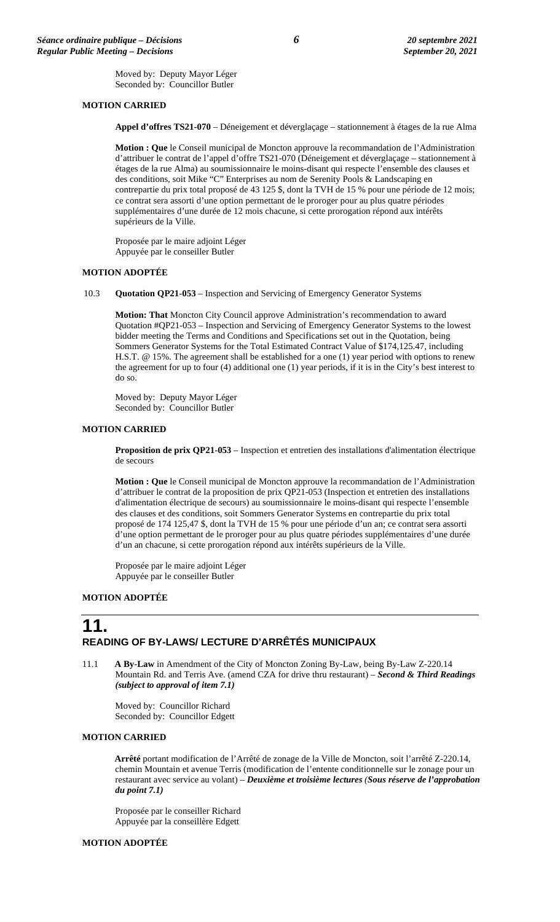Moved by: Deputy Mayor Léger Seconded by: Councillor Butler

#### **MOTION CARRIED**

**Appel d'offres TS21-070** – Déneigement et déverglaçage – stationnement à étages de la rue Alma

**Motion : Que** le Conseil municipal de Moncton approuve la recommandation de l'Administration d'attribuer le contrat de l'appel d'offre TS21-070 (Déneigement et déverglaçage – stationnement à étages de la rue Alma) au soumissionnaire le moins-disant qui respecte l'ensemble des clauses et des conditions, soit Mike "C" Enterprises au nom de Serenity Pools & Landscaping en contrepartie du prix total proposé de 43 125 \$, dont la TVH de 15 % pour une période de 12 mois; ce contrat sera assorti d'une option permettant de le proroger pour au plus quatre périodes supplémentaires d'une durée de 12 mois chacune, si cette prorogation répond aux intérêts supérieurs de la Ville.

Proposée par le maire adjoint Léger Appuyée par le conseiller Butler

#### **MOTION ADOPTÉE**

10.3 **Quotation QP21-053** – Inspection and Servicing of Emergency Generator Systems

**Motion: That** Moncton City Council approve Administration's recommendation to award Quotation #QP21-053 – Inspection and Servicing of Emergency Generator Systems to the lowest bidder meeting the Terms and Conditions and Specifications set out in the Quotation, being Sommers Generator Systems for the Total Estimated Contract Value of \$174,125.47, including H.S.T. @ 15%. The agreement shall be established for a one (1) year period with options to renew the agreement for up to four (4) additional one (1) year periods, if it is in the City's best interest to do so.

Moved by: Deputy Mayor Léger Seconded by: Councillor Butler

#### **MOTION CARRIED**

**Proposition de prix QP21-053** – Inspection et entretien des installations d'alimentation électrique de secours

**Motion : Que** le Conseil municipal de Moncton approuve la recommandation de l'Administration d'attribuer le contrat de la proposition de prix QP21-053 (Inspection et entretien des installations d'alimentation électrique de secours) au soumissionnaire le moins-disant qui respecte l'ensemble des clauses et des conditions, soit Sommers Generator Systems en contrepartie du prix total proposé de 174 125,47 \$, dont la TVH de 15 % pour une période d'un an; ce contrat sera assorti d'une option permettant de le proroger pour au plus quatre périodes supplémentaires d'une durée d'un an chacune, si cette prorogation répond aux intérêts supérieurs de la Ville.

Proposée par le maire adjoint Léger Appuyée par le conseiller Butler

#### **MOTION ADOPTÉE**

## **11. READING OF BY-LAWS/ LECTURE D'ARRÊTÉS MUNICIPAUX**

11.1 **A By-Law** in Amendment of the City of Moncton Zoning By-Law, being By-Law Z-220.14 Mountain Rd. and Terris Ave. (amend CZA for drive thru restaurant) – *Second & Third Readings (subject to approval of item 7.1)*

Moved by: Councillor Richard Seconded by: Councillor Edgett

#### **MOTION CARRIED**

**Arrêté** portant modification de l'Arrêté de zonage de la Ville de Moncton, soit l'arrêté Z-220.14, chemin Mountain et avenue Terris (modification de l'entente conditionnelle sur le zonage pour un restaurant avec service au volant) – *Deuxième et troisième lectures (Sous réserve de l'approbation du point 7.1)*

Proposée par le conseiller Richard Appuyée par la conseillère Edgett

#### **MOTION ADOPTÉE**